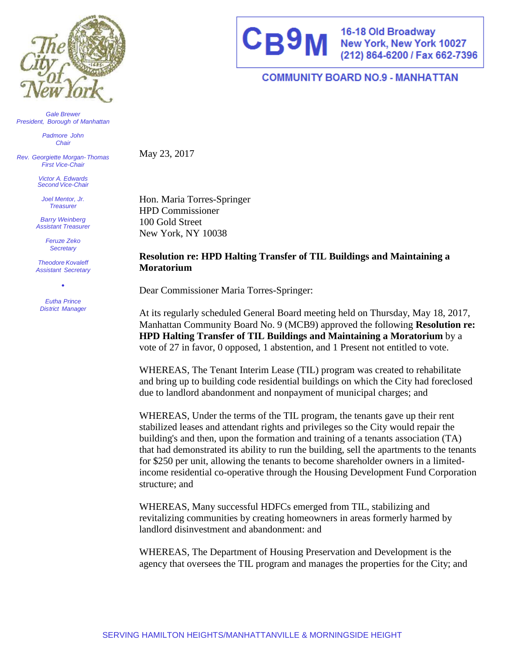

*Gale Brewer President, Borough of Manhattan*

> *Padmore John Chair*

*Rev. Georgiette Morgan- Thomas First Vice-Chair*

> *Victor A. Edwards Second Vice-Chair*

*Joel Mentor, Jr. Treasurer*

*Barry Weinberg Assistant Treasurer*

> *Feruze Zeko Secretary*

*Theodore Kovaleff Assistant Secretary*

• *Eutha Prince District Manager*



16-18 Old Broadway<br>New York, New York 10027<br>(212) 864-6200 / Fax 662-7396

## **COMMUNITY BOARD NO.9 - MANHATTAN**

May 23, 2017

Hon. Maria Torres-Springer HPD Commissioner 100 Gold Street New York, NY 10038

## **Resolution re: HPD Halting Transfer of TIL Buildings and Maintaining a Moratorium**

Dear Commissioner Maria Torres-Springer:

At its regularly scheduled General Board meeting held on Thursday, May 18, 2017, Manhattan Community Board No. 9 (MCB9) approved the following **Resolution re: HPD Halting Transfer of TIL Buildings and Maintaining a Moratorium** by a vote of 27 in favor, 0 opposed, 1 abstention, and 1 Present not entitled to vote.

WHEREAS, The Tenant Interim Lease (TIL) program was created to rehabilitate and bring up to building code residential buildings on which the City had foreclosed due to landlord abandonment and nonpayment of municipal charges; and

WHEREAS, Under the terms of the TIL program, the tenants gave up their rent stabilized leases and attendant rights and privileges so the City would repair the building's and then, upon the formation and training of a tenants association (TA) that had demonstrated its ability to run the building, sell the apartments to the tenants for \$250 per unit, allowing the tenants to become shareholder owners in a limitedincome residential co-operative through the Housing Development Fund Corporation structure; and

WHEREAS, Many successful HDFCs emerged from TIL, stabilizing and revitalizing communities by creating homeowners in areas formerly harmed by landlord disinvestment and abandonment: and

WHEREAS, The Department of Housing Preservation and Development is the agency that oversees the TIL program and manages the properties for the City; and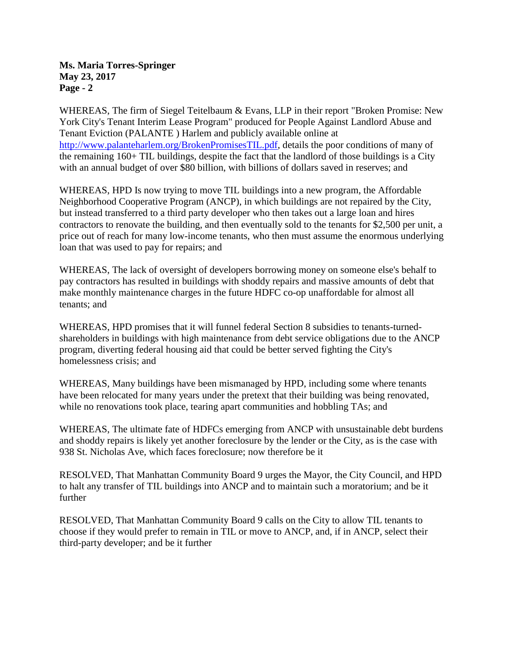**Ms. Maria Torres-Springer May 23, 2017 Page - 2**

WHEREAS, The firm of Siegel Teitelbaum & Evans, LLP in their report "Broken Promise: New York City's Tenant Interim Lease Program" produced for People Against Landlord Abuse and Tenant Eviction (PALANTE ) Harlem and publicly available online at [http://www.palanteharlem.org/BrokenPromisesTIL.pdf,](http://www.palanteharlem.org/BrokenPromisesTIL.pdf) details the poor conditions of many of the remaining 160+ TIL buildings, despite the fact that the landlord of those buildings is a City with an annual budget of over \$80 billion, with billions of dollars saved in reserves; and

WHEREAS, HPD Is now trying to move TIL buildings into a new program, the Affordable Neighborhood Cooperative Program (ANCP), in which buildings are not repaired by the City, but instead transferred to a third party developer who then takes out a large loan and hires contractors to renovate the building, and then eventually sold to the tenants for \$2,500 per unit, a price out of reach for many low-income tenants, who then must assume the enormous underlying loan that was used to pay for repairs; and

WHEREAS, The lack of oversight of developers borrowing money on someone else's behalf to pay contractors has resulted in buildings with shoddy repairs and massive amounts of debt that make monthly maintenance charges in the future HDFC co-op unaffordable for almost all tenants; and

WHEREAS, HPD promises that it will funnel federal Section 8 subsidies to tenants-turnedshareholders in buildings with high maintenance from debt service obligations due to the ANCP program, diverting federal housing aid that could be better served fighting the City's homelessness crisis; and

WHEREAS, Many buildings have been mismanaged by HPD, including some where tenants have been relocated for many years under the pretext that their building was being renovated, while no renovations took place, tearing apart communities and hobbling TAs; and

WHEREAS, The ultimate fate of HDFCs emerging from ANCP with unsustainable debt burdens and shoddy repairs is likely yet another foreclosure by the lender or the City, as is the case with 938 St. Nicholas Ave, which faces foreclosure; now therefore be it

RESOLVED, That Manhattan Community Board 9 urges the Mayor, the City Council, and HPD to halt any transfer of TIL buildings into ANCP and to maintain such a moratorium; and be it further

RESOLVED, That Manhattan Community Board 9 calls on the City to allow TIL tenants to choose if they would prefer to remain in TIL or move to ANCP, and, if in ANCP, select their third-party developer; and be it further